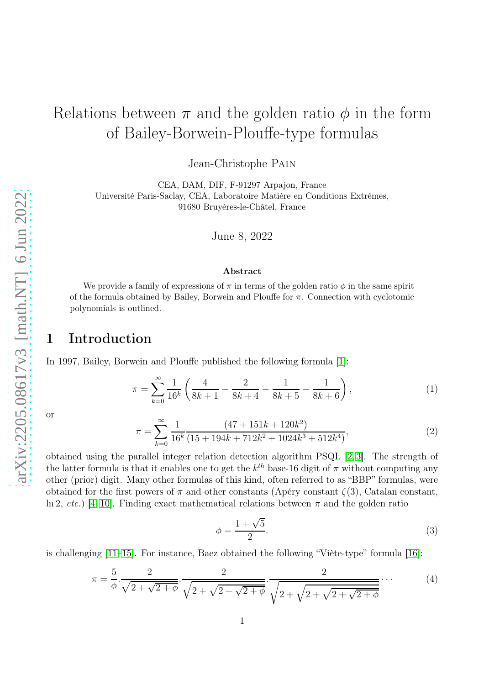# Relations between  $\pi$  and the golden ratio  $\phi$  in the form of Bailey-Borwein-Plouffe-type formulas

Jean-Christophe Pain

CEA, DAM, DIF, F-91297 Arpajon, France Université Paris-Saclay, CEA, Laboratoire Matière en Conditions Extrêmes, 91680 Bruyères-le-Châtel, France

June 8, 2022

#### Abstract

We provide a family of expressions of  $\pi$  in terms of the golden ratio  $\phi$  in the same spirit of the formula obtained by Bailey, Borwein and Plouffe for  $\pi$ . Connection with cyclotomic polynomials is outlined.

## 1 Introduction

In 1997, Bailey, Borwein and Plouffe published the following formula [\[1\]](#page-4-0):

$$
\pi = \sum_{k=0}^{\infty} \frac{1}{16^k} \left( \frac{4}{8k+1} - \frac{2}{8k+4} - \frac{1}{8k+5} - \frac{1}{8k+6} \right),\tag{1}
$$

or

$$
\pi = \sum_{k=0}^{\infty} \frac{1}{16^k} \frac{(47 + 151k + 120k^2)}{(15 + 194k + 712k^2 + 1024k^3 + 512k^4)},
$$
\n(2)

obtained using the parallel integer relation detection algorithm PSQL [\[2,](#page-4-1) [3\]](#page-4-2). The strength of the latter formula is that it enables one to get the  $k^{th}$  base-16 digit of  $\pi$  without computing any other (prior) digit. Many other formulas of this kind, often referred to as "BBP" formulas, were obtained for the first powers of  $\pi$  and other constants (Apéry constant  $\zeta(3)$ , Catalan constant, ln 2, *etc.*) [\[4](#page-4-3)[–10\]](#page-4-4). Finding exact mathematical relations between  $\pi$  and the golden ratio

$$
\phi = \frac{1 + \sqrt{5}}{2}.\tag{3}
$$

is challenging [\[11](#page-4-5)[–15\]](#page-4-6). For instance, Baez obtained the following "Viète-type" formula [\[16\]](#page-4-7):

$$
\pi = \frac{5}{\phi} \cdot \frac{2}{\sqrt{2 + \sqrt{2 + \phi}}} \cdot \frac{2}{\sqrt{2 + \sqrt{2 + \sqrt{2 + \phi}}}} \cdot \frac{2}{\sqrt{2 + \sqrt{2 + \sqrt{2 + \sqrt{2 + \phi}}}}}} \cdots \tag{4}
$$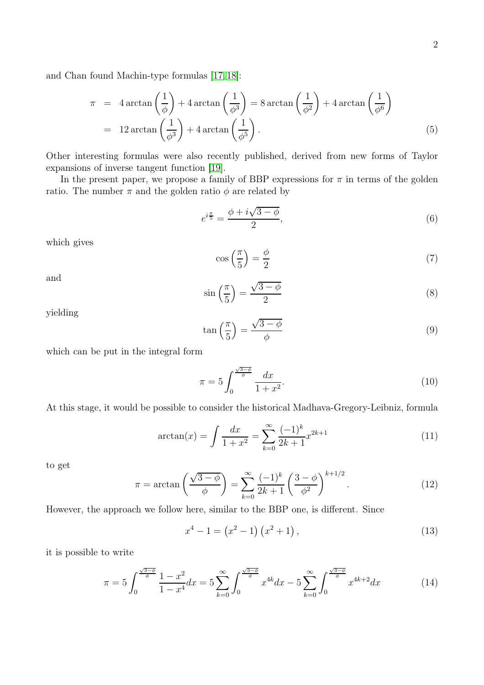and Chan found Machin-type formulas [\[17,](#page-4-8) [18\]](#page-5-0):

$$
\pi = 4 \arctan\left(\frac{1}{\phi}\right) + 4 \arctan\left(\frac{1}{\phi^3}\right) = 8 \arctan\left(\frac{1}{\phi^2}\right) + 4 \arctan\left(\frac{1}{\phi^6}\right)
$$
  
= 12 \arctan\left(\frac{1}{\phi^3}\right) + 4 \arctan\left(\frac{1}{\phi^5}\right). (5)

Other interesting formulas were also recently published, derived from new forms of Taylor expansions of inverse tangent function [\[19\]](#page-5-1).

In the present paper, we propose a family of BBP expressions for  $\pi$  in terms of the golden ratio. The number  $\pi$  and the golden ratio  $\phi$  are related by

$$
e^{i\frac{\pi}{5}} = \frac{\phi + i\sqrt{3 - \phi}}{2},\tag{6}
$$

which gives

$$
\cos\left(\frac{\pi}{5}\right) = \frac{\phi}{2} \tag{7}
$$

and

$$
\sin\left(\frac{\pi}{5}\right) = \frac{\sqrt{3-\phi}}{2} \tag{8}
$$

yielding

$$
\tan\left(\frac{\pi}{5}\right) = \frac{\sqrt{3-\phi}}{\phi} \tag{9}
$$

which can be put in the integral form

$$
\pi = 5 \int_0^{\frac{\sqrt{3-\phi}}{\phi}} \frac{dx}{1+x^2}.
$$
\n(10)

At this stage, it would be possible to consider the historical Madhava-Gregory-Leibniz, formula

$$
\arctan(x) = \int \frac{dx}{1+x^2} = \sum_{k=0}^{\infty} \frac{(-1)^k}{2k+1} x^{2k+1}
$$
 (11)

to get

$$
\pi = \arctan\left(\frac{\sqrt{3-\phi}}{\phi}\right) = \sum_{k=0}^{\infty} \frac{(-1)^k}{2k+1} \left(\frac{3-\phi}{\phi^2}\right)^{k+1/2}.
$$
 (12)

However, the approach we follow here, similar to the BBP one, is different. Since

$$
x^4 - 1 = \left(x^2 - 1\right)\left(x^2 + 1\right),\tag{13}
$$

it is possible to write

$$
\pi = 5 \int_0^{\frac{\sqrt{3-\phi}}{\phi}} \frac{1-x^2}{1-x^4} dx = 5 \sum_{k=0}^{\infty} \int_0^{\frac{\sqrt{3-\phi}}{\phi}} x^{4k} dx - 5 \sum_{k=0}^{\infty} \int_0^{\frac{\sqrt{3-\phi}}{\phi}} x^{4k+2} dx \tag{14}
$$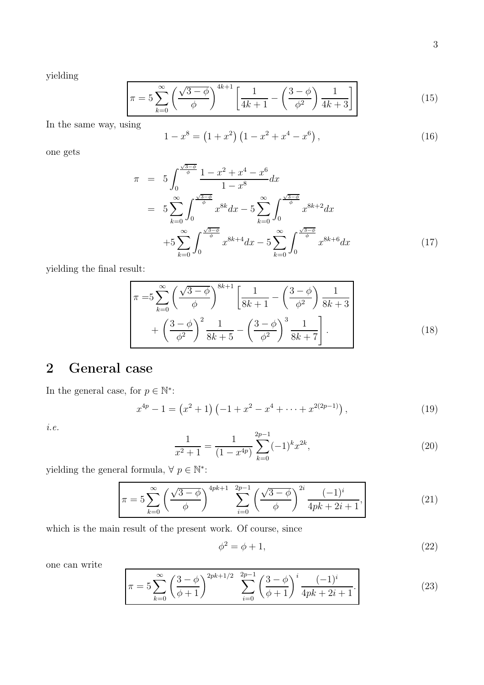yielding

$$
\pi = 5\sum_{k=0}^{\infty} \left(\frac{\sqrt{3-\phi}}{\phi}\right)^{4k+1} \left[\frac{1}{4k+1} - \left(\frac{3-\phi}{\phi^2}\right)\frac{1}{4k+3}\right] \tag{15}
$$

In the same way, using

$$
1 - x^8 = (1 + x^2) (1 - x^2 + x^4 - x^6), \tag{16}
$$

one gets

$$
\pi = 5 \int_0^{\frac{\sqrt{3-\phi}}{\phi}} \frac{1 - x^2 + x^4 - x^6}{1 - x^8} dx
$$
  
\n
$$
= 5 \sum_{k=0}^{\infty} \int_0^{\frac{\sqrt{3-\phi}}{\phi}} x^{8k} dx - 5 \sum_{k=0}^{\infty} \int_0^{\frac{\sqrt{3-\phi}}{\phi}} x^{8k+2} dx
$$
  
\n
$$
+ 5 \sum_{k=0}^{\infty} \int_0^{\frac{\sqrt{3-\phi}}{\phi}} x^{8k+4} dx - 5 \sum_{k=0}^{\infty} \int_0^{\frac{\sqrt{3-\phi}}{\phi}} x^{8k+6} dx
$$
(17)

yielding the final result:

$$
\pi = 5 \sum_{k=0}^{\infty} \left( \frac{\sqrt{3-\phi}}{\phi} \right)^{8k+1} \left[ \frac{1}{8k+1} - \left( \frac{3-\phi}{\phi^2} \right) \frac{1}{8k+3} + \left( \frac{3-\phi}{\phi^2} \right)^2 \frac{1}{8k+5} - \left( \frac{3-\phi}{\phi^2} \right)^3 \frac{1}{8k+7} \right].
$$
\n(18)

## 2 General case

In the general case, for  $p \in \mathbb{N}^*$ :

$$
x^{4p} - 1 = (x^2 + 1) \left( -1 + x^2 - x^4 + \dots + x^{2(2p-1)} \right), \tag{19}
$$

*i.e.*

$$
\frac{1}{x^2 + 1} = \frac{1}{(1 - x^{4p})} \sum_{k=0}^{2p-1} (-1)^k x^{2k},\tag{20}
$$

yielding the general formula,  $\forall p \in \mathbb{N}^*$ :

$$
\pi = 5 \sum_{k=0}^{\infty} \left( \frac{\sqrt{3-\phi}}{\phi} \right)^{4pk+1} \sum_{i=0}^{2p-1} \left( \frac{\sqrt{3-\phi}}{\phi} \right)^{2i} \frac{(-1)^i}{4pk+2i+1}, \tag{21}
$$

which is the main result of the present work. Of course, since

$$
\phi^2 = \phi + 1,\tag{22}
$$

one can write

$$
\pi = 5 \sum_{k=0}^{\infty} \left( \frac{3-\phi}{\phi+1} \right)^{2pk+1/2} \sum_{i=0}^{2p-1} \left( \frac{3-\phi}{\phi+1} \right)^i \frac{(-1)^i}{4pk+2i+1}.
$$
 (23)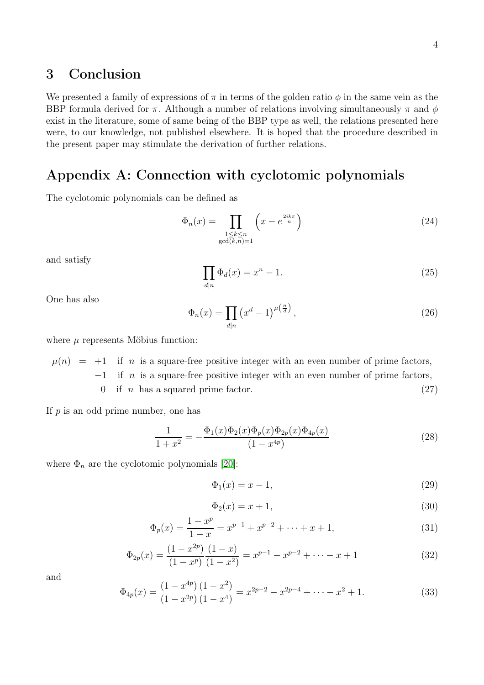#### 3 Conclusion

We presented a family of expressions of  $\pi$  in terms of the golden ratio  $\phi$  in the same vein as the BBP formula derived for  $\pi$ . Although a number of relations involving simultaneously  $\pi$  and  $\phi$ exist in the literature, some of same being of the BBP type as well, the relations presented here were, to our knowledge, not published elsewhere. It is hoped that the procedure described in the present paper may stimulate the derivation of further relations.

## Appendix A: Connection with cyclotomic polynomials

The cyclotomic polynomials can be defined as

$$
\Phi_n(x) = \prod_{\substack{1 \le k \le n \\ \gcd(k,n)=1}} \left( x - e^{\frac{2ik\pi}{n}} \right) \tag{24}
$$

and satisfy

$$
\prod_{d|n} \Phi_d(x) = x^n - 1.
$$
\n(25)

One has also

$$
\Phi_n(x) = \prod_{d|n} \left(x^d - 1\right)^{\mu\left(\frac{n}{d}\right)},\tag{26}
$$

where  $\mu$  represents Möbius function:

 $\mu(n) = +1$  if n is a square-free positive integer with an even number of prime factors,  $-1$  if n is a square-free positive integer with an even number of prime factors, 0 if *n* has a squared prime factor.  $(27)$ 

If  $p$  is an odd prime number, one has

$$
\frac{1}{1+x^2} = -\frac{\Phi_1(x)\Phi_2(x)\Phi_p(x)\Phi_{2p}(x)\Phi_{4p}(x)}{(1-x^{4p})}
$$
(28)

where  $\Phi_n$  are the cyclotomic polynomials [\[20\]](#page-5-2):

$$
\Phi_1(x) = x - 1,\tag{29}
$$

$$
\Phi_2(x) = x + 1,\tag{30}
$$

$$
\Phi_p(x) = \frac{1 - x^p}{1 - x} = x^{p-1} + x^{p-2} + \dots + x + 1,\tag{31}
$$

$$
\Phi_{2p}(x) = \frac{(1 - x^{2p}) (1 - x)}{(1 - x^p) (1 - x^2)} = x^{p-1} - x^{p-2} + \dots - x + 1
$$
\n(32)

and

$$
\Phi_{4p}(x) = \frac{(1 - x^{4p}) (1 - x^2)}{(1 - x^{2p}) (1 - x^4)} = x^{2p-2} - x^{2p-4} + \dots - x^2 + 1. \tag{33}
$$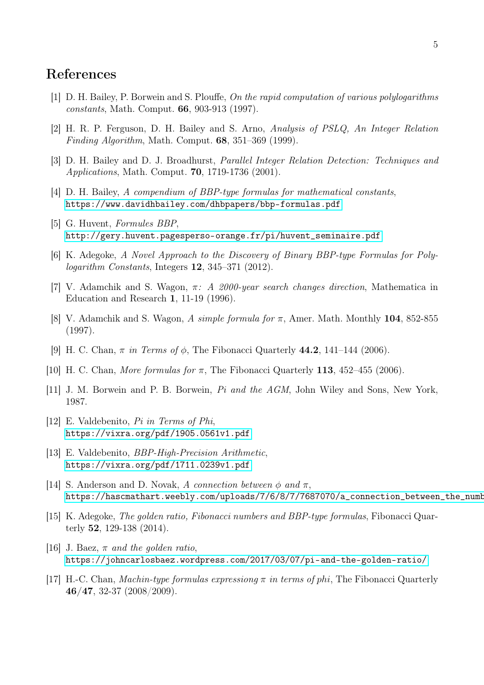### <span id="page-4-0"></span>References

- <span id="page-4-1"></span>[1] D. H. Bailey, P. Borwein and S. Plouffe, *On the rapid computation of various polylogarithms constants*, Math. Comput. 66, 903-913 (1997).
- [2] H. R. P. Ferguson, D. H. Bailey and S. Arno, *Analysis of PSLQ, An Integer Relation Finding Algorithm*, Math. Comput. 68, 351–369 (1999).
- <span id="page-4-2"></span>[3] D. H. Bailey and D. J. Broadhurst, *Parallel Integer Relation Detection: Techniques and Applications*, Math. Comput. 70, 1719-1736 (2001).
- <span id="page-4-3"></span>[4] D. H. Bailey, *A compendium of BBP-type formulas for mathematical constants*, <https://www.davidhbailey.com/dhbpapers/bbp-formulas.pdf>
- [5] G. Huvent, *Formules BBP*, [http://gery.huvent.pagesperso-orange.fr/pi/huvent\\_seminaire.pdf](http://gery.huvent.pagesperso-orange.fr/pi/huvent_seminaire.pdf)
- [6] K. Adegoke, *A Novel Approach to the Discovery of Binary BBP-type Formulas for Polylogarithm Constants*, Integers 12, 345–371 (2012).
- [7] V. Adamchik and S. Wagon, π*: A 2000-year search changes direction*, Mathematica in Education and Research 1, 11-19 (1996).
- [8] V. Adamchik and S. Wagon, *A simple formula for* π, Amer. Math. Monthly 104, 852-855 (1997).
- <span id="page-4-4"></span>[9] H. C. Chan, π *in Terms of* φ, The Fibonacci Quarterly 44.2, 141–144 (2006).
- <span id="page-4-5"></span>[10] H. C. Chan, *More formulas for* π, The Fibonacci Quarterly 113, 452–455 (2006).
- [11] J. M. Borwein and P. B. Borwein, *Pi and the AGM*, John Wiley and Sons, New York, 1987.
- [12] E. Valdebenito, *Pi in Terms of Phi*, <https://vixra.org/pdf/1905.0561v1.pdf>
- [13] E. Valdebenito, *BBP-High-Precision Arithmetic*, <https://vixra.org/pdf/1711.0239v1.pdf>
- [14] S. Anderson and D. Novak, *A connection between*  $\phi$  *and*  $\pi$ , https://hascmathart.weebly.com/uploads/7/6/8/7/7687070/a\_connection\_between\_the\_numbers\_phi\_2.pdf
- <span id="page-4-6"></span>[15] K. Adegoke, *The golden ratio, Fibonacci numbers and BBP-type formulas*, Fibonacci Quarterly 52, 129-138 (2014).
- <span id="page-4-7"></span>[16] J. Baez, π *and the golden ratio*, <https://johncarlosbaez.wordpress.com/2017/03/07/pi-and-the-golden-ratio/>
- <span id="page-4-8"></span>[17] H.-C. Chan, *Machin-type formulas expressiong* π *in terms of* phi, The Fibonacci Quarterly 46/47, 32-37 (2008/2009).